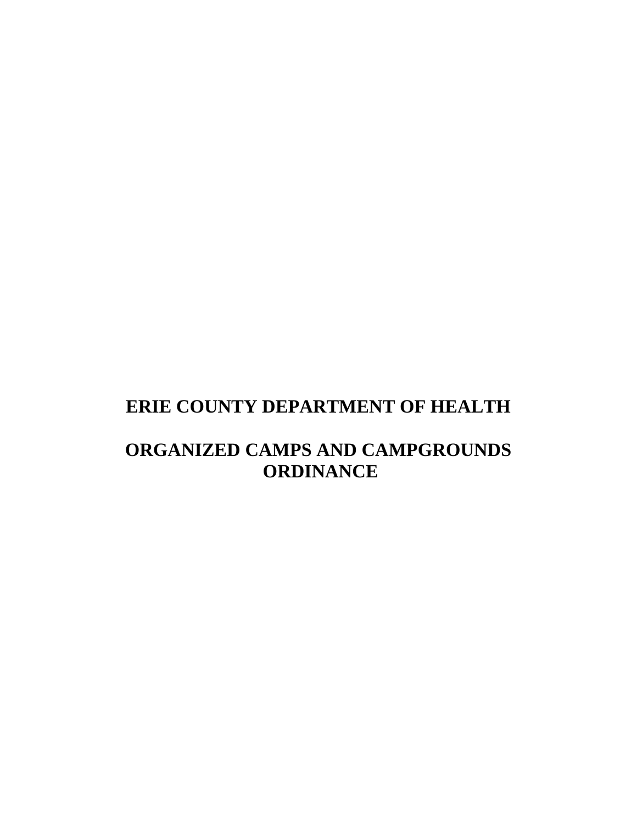# **ERIE COUNTY DEPARTMENT OF HEALTH**

# **ORGANIZED CAMPS AND CAMPGROUNDS ORDINANCE**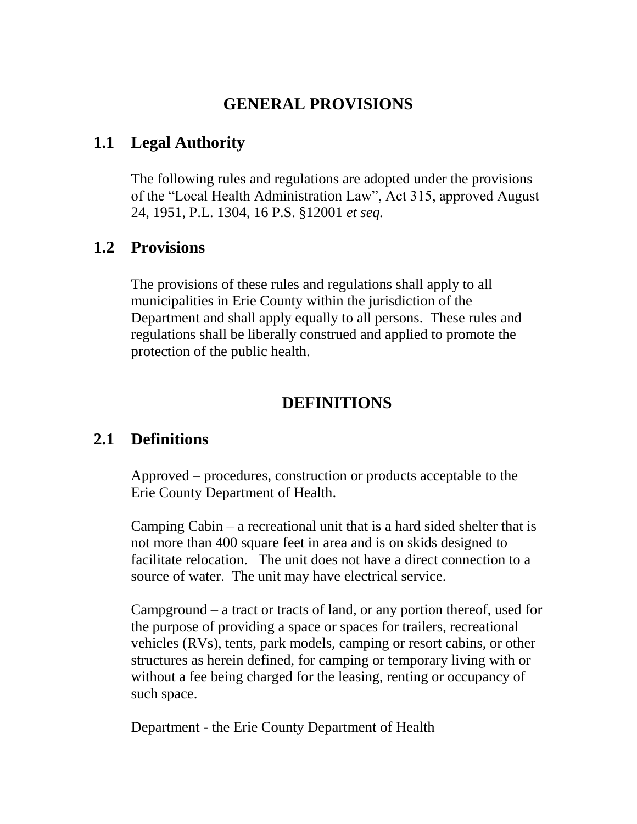### **GENERAL PROVISIONS**

### **1.1 Legal Authority**

The following rules and regulations are adopted under the provisions of the "Local Health Administration Law", Act 315, approved August 24, 1951, P.L. 1304, 16 P.S. §12001 *et seq.*

### **1.2 Provisions**

The provisions of these rules and regulations shall apply to all municipalities in Erie County within the jurisdiction of the Department and shall apply equally to all persons. These rules and regulations shall be liberally construed and applied to promote the protection of the public health.

### **DEFINITIONS**

# **2.1 Definitions**

Approved – procedures, construction or products acceptable to the Erie County Department of Health.

Camping Cabin – a recreational unit that is a hard sided shelter that is not more than 400 square feet in area and is on skids designed to facilitate relocation. The unit does not have a direct connection to a source of water. The unit may have electrical service.

Campground – a tract or tracts of land, or any portion thereof, used for the purpose of providing a space or spaces for trailers, recreational vehicles (RVs), tents, park models, camping or resort cabins, or other structures as herein defined, for camping or temporary living with or without a fee being charged for the leasing, renting or occupancy of such space.

Department - the Erie County Department of Health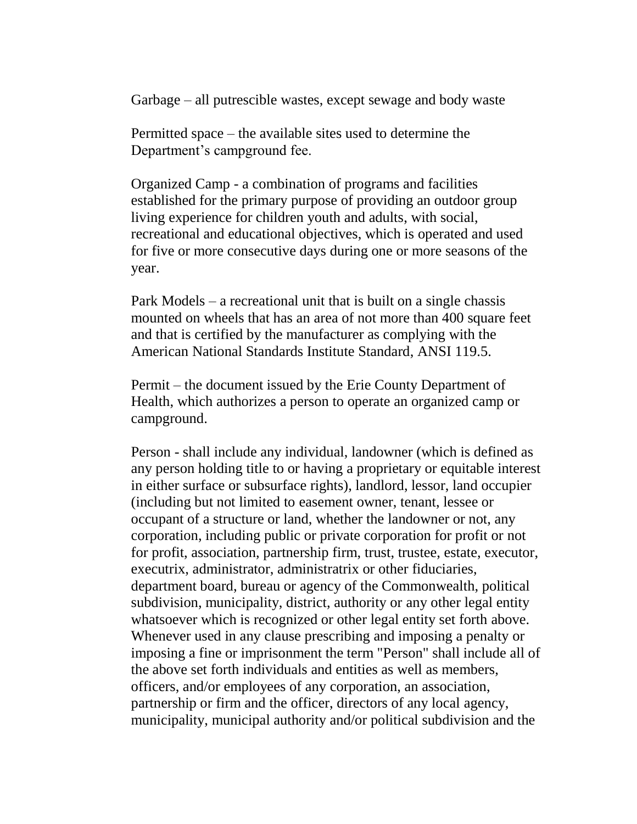Garbage – all putrescible wastes, except sewage and body waste

Permitted space – the available sites used to determine the Department's campground fee.

Organized Camp - a combination of programs and facilities established for the primary purpose of providing an outdoor group living experience for children youth and adults, with social, recreational and educational objectives, which is operated and used for five or more consecutive days during one or more seasons of the year.

Park Models – a recreational unit that is built on a single chassis mounted on wheels that has an area of not more than 400 square feet and that is certified by the manufacturer as complying with the American National Standards Institute Standard, ANSI 119.5.

Permit – the document issued by the Erie County Department of Health, which authorizes a person to operate an organized camp or campground.

Person - shall include any individual, landowner (which is defined as any person holding title to or having a proprietary or equitable interest in either surface or subsurface rights), landlord, lessor, land occupier (including but not limited to easement owner, tenant, lessee or occupant of a structure or land, whether the landowner or not, any corporation, including public or private corporation for profit or not for profit, association, partnership firm, trust, trustee, estate, executor, executrix, administrator, administratrix or other fiduciaries, department board, bureau or agency of the Commonwealth, political subdivision, municipality, district, authority or any other legal entity whatsoever which is recognized or other legal entity set forth above. Whenever used in any clause prescribing and imposing a penalty or imposing a fine or imprisonment the term "Person" shall include all of the above set forth individuals and entities as well as members, officers, and/or employees of any corporation, an association, partnership or firm and the officer, directors of any local agency, municipality, municipal authority and/or political subdivision and the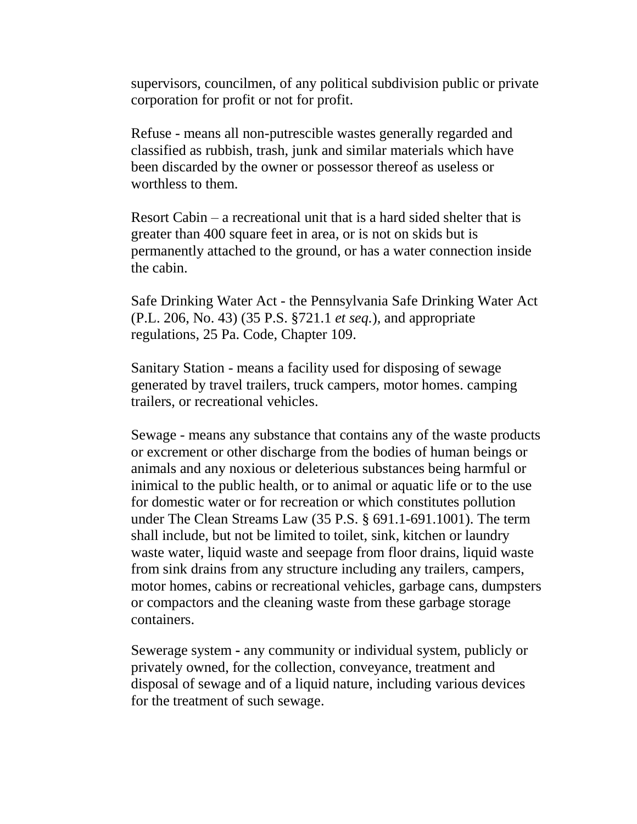supervisors, councilmen, of any political subdivision public or private corporation for profit or not for profit.

Refuse - means all non-putrescible wastes generally regarded and classified as rubbish, trash, junk and similar materials which have been discarded by the owner or possessor thereof as useless or worthless to them.

Resort Cabin – a recreational unit that is a hard sided shelter that is greater than 400 square feet in area, or is not on skids but is permanently attached to the ground, or has a water connection inside the cabin.

Safe Drinking Water Act - the Pennsylvania Safe Drinking Water Act (P.L. 206, No. 43) (35 P.S. §721.1 *et seq.*)*,* and appropriate regulations, 25 Pa. Code, Chapter 109.

Sanitary Station - means a facility used for disposing of sewage generated by travel trailers, truck campers, motor homes. camping trailers, or recreational vehicles.

Sewage - means any substance that contains any of the waste products or excrement or other discharge from the bodies of human beings or animals and any noxious or deleterious substances being harmful or inimical to the public health, or to animal or aquatic life or to the use for domestic water or for recreation or which constitutes pollution under The Clean Streams Law (35 P.S. § 691.1-691.1001). The term shall include, but not be limited to toilet, sink, kitchen or laundry waste water, liquid waste and seepage from floor drains, liquid waste from sink drains from any structure including any trailers, campers, motor homes, cabins or recreational vehicles, garbage cans, dumpsters or compactors and the cleaning waste from these garbage storage containers.

Sewerage system **-** any community or individual system, publicly or privately owned, for the collection, conveyance, treatment and disposal of sewage and of a liquid nature, including various devices for the treatment of such sewage.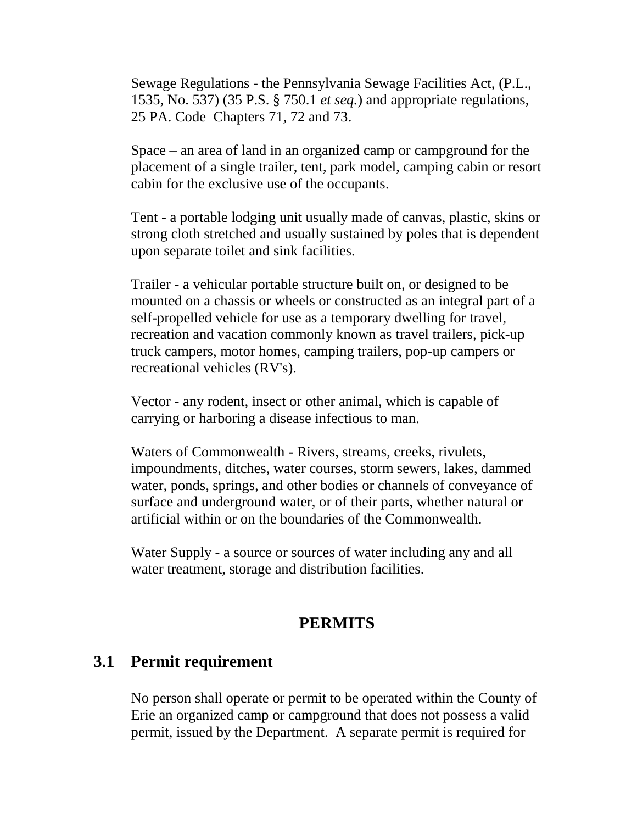Sewage Regulations - the Pennsylvania Sewage Facilities Act, (P.L., 1535, No. 537) (35 P.S. § 750.1 *et seq.*) and appropriate regulations, 25 PA. Code Chapters 71, 72 and 73.

Space – an area of land in an organized camp or campground for the placement of a single trailer, tent, park model, camping cabin or resort cabin for the exclusive use of the occupants.

Tent - a portable lodging unit usually made of canvas, plastic, skins or strong cloth stretched and usually sustained by poles that is dependent upon separate toilet and sink facilities.

Trailer - a vehicular portable structure built on, or designed to be mounted on a chassis or wheels or constructed as an integral part of a self-propelled vehicle for use as a temporary dwelling for travel, recreation and vacation commonly known as travel trailers, pick-up truck campers, motor homes, camping trailers, pop-up campers or recreational vehicles (RV's).

Vector - any rodent, insect or other animal, which is capable of carrying or harboring a disease infectious to man.

Waters of Commonwealth - Rivers, streams, creeks, rivulets, impoundments, ditches, water courses, storm sewers, lakes, dammed water, ponds, springs, and other bodies or channels of conveyance of surface and underground water, or of their parts, whether natural or artificial within or on the boundaries of the Commonwealth.

Water Supply - a source or sources of water including any and all water treatment, storage and distribution facilities.

#### **PERMITS**

#### **3.1 Permit requirement**

No person shall operate or permit to be operated within the County of Erie an organized camp or campground that does not possess a valid permit, issued by the Department. A separate permit is required for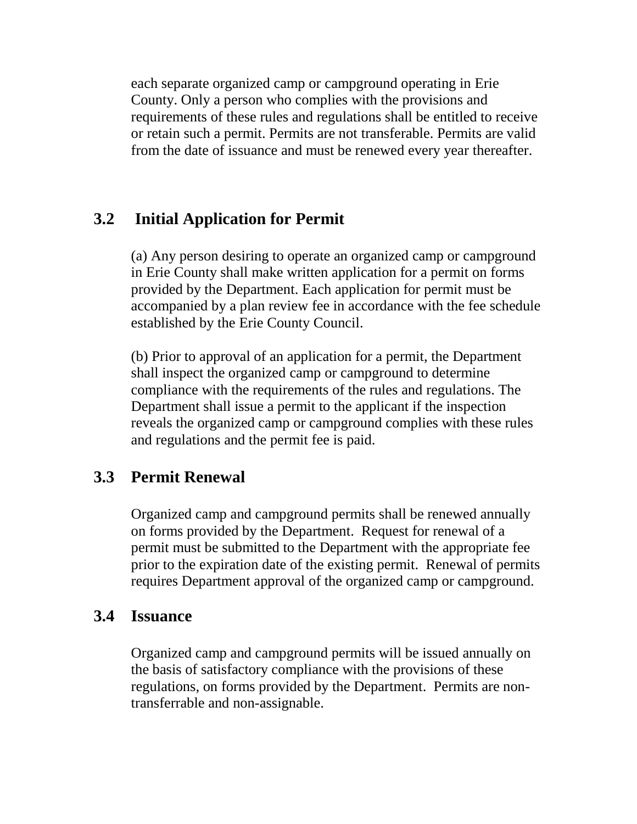each separate organized camp or campground operating in Erie County. Only a person who complies with the provisions and requirements of these rules and regulations shall be entitled to receive or retain such a permit. Permits are not transferable. Permits are valid from the date of issuance and must be renewed every year thereafter.

# **3.2 Initial Application for Permit**

(a) Any person desiring to operate an organized camp or campground in Erie County shall make written application for a permit on forms provided by the Department. Each application for permit must be accompanied by a plan review fee in accordance with the fee schedule established by the Erie County Council.

(b) Prior to approval of an application for a permit, the Department shall inspect the organized camp or campground to determine compliance with the requirements of the rules and regulations. The Department shall issue a permit to the applicant if the inspection reveals the organized camp or campground complies with these rules and regulations and the permit fee is paid.

# **3.3 Permit Renewal**

Organized camp and campground permits shall be renewed annually on forms provided by the Department. Request for renewal of a permit must be submitted to the Department with the appropriate fee prior to the expiration date of the existing permit. Renewal of permits requires Department approval of the organized camp or campground.

# **3.4 Issuance**

Organized camp and campground permits will be issued annually on the basis of satisfactory compliance with the provisions of these regulations, on forms provided by the Department. Permits are nontransferrable and non-assignable.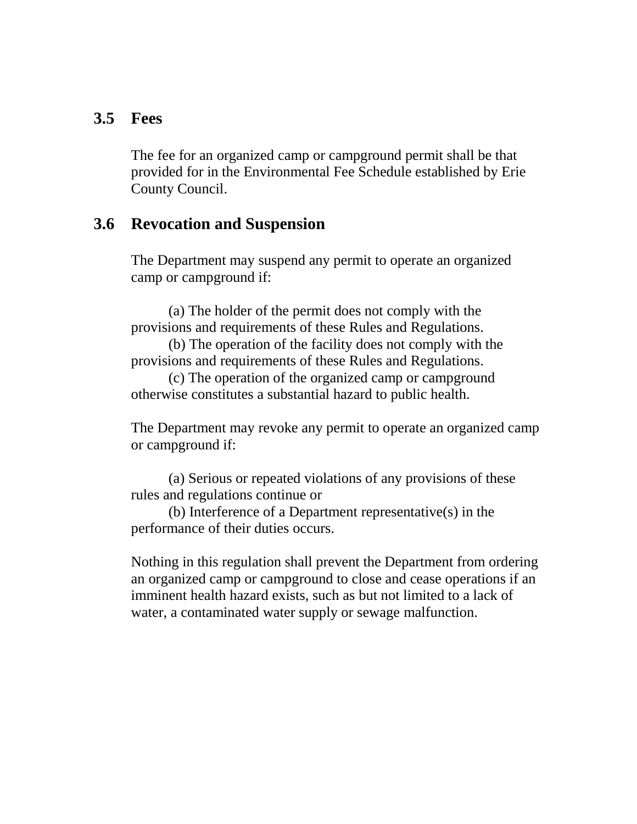#### **3.5 Fees**

The fee for an organized camp or campground permit shall be that provided for in the Environmental Fee Schedule established by Erie County Council.

#### **3.6 Revocation and Suspension**

The Department may suspend any permit to operate an organized camp or campground if:

(a) The holder of the permit does not comply with the provisions and requirements of these Rules and Regulations.

(b) The operation of the facility does not comply with the provisions and requirements of these Rules and Regulations.

(c) The operation of the organized camp or campground otherwise constitutes a substantial hazard to public health.

The Department may revoke any permit to operate an organized camp or campground if:

(a) Serious or repeated violations of any provisions of these rules and regulations continue or

(b) Interference of a Department representative(s) in the performance of their duties occurs.

Nothing in this regulation shall prevent the Department from ordering an organized camp or campground to close and cease operations if an imminent health hazard exists, such as but not limited to a lack of water, a contaminated water supply or sewage malfunction.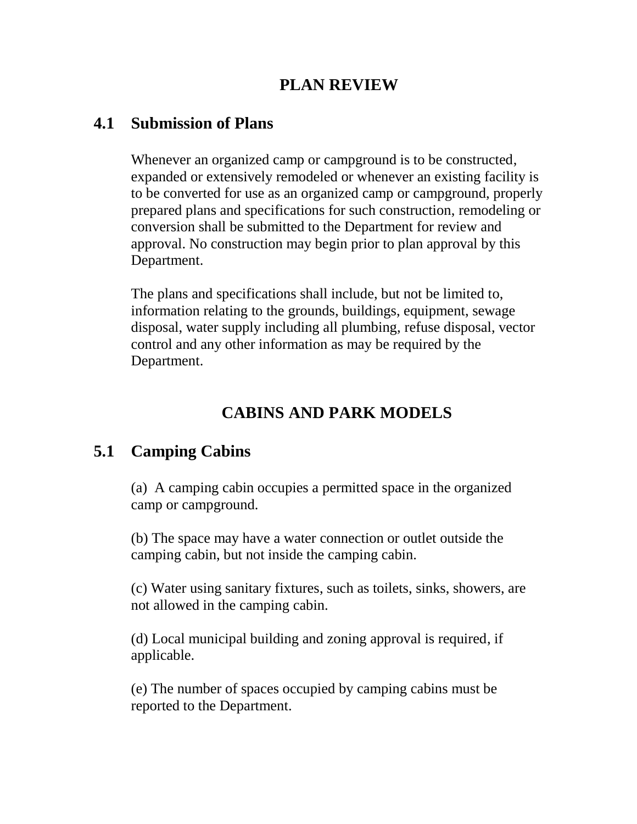# **PLAN REVIEW**

### **4.1 Submission of Plans**

Whenever an organized camp or campground is to be constructed, expanded or extensively remodeled or whenever an existing facility is to be converted for use as an organized camp or campground, properly prepared plans and specifications for such construction, remodeling or conversion shall be submitted to the Department for review and approval. No construction may begin prior to plan approval by this Department.

The plans and specifications shall include, but not be limited to, information relating to the grounds, buildings, equipment, sewage disposal, water supply including all plumbing, refuse disposal, vector control and any other information as may be required by the Department.

# **CABINS AND PARK MODELS**

# **5.1 Camping Cabins**

(a) A camping cabin occupies a permitted space in the organized camp or campground.

(b) The space may have a water connection or outlet outside the camping cabin, but not inside the camping cabin.

(c) Water using sanitary fixtures, such as toilets, sinks, showers, are not allowed in the camping cabin.

(d) Local municipal building and zoning approval is required, if applicable.

(e) The number of spaces occupied by camping cabins must be reported to the Department.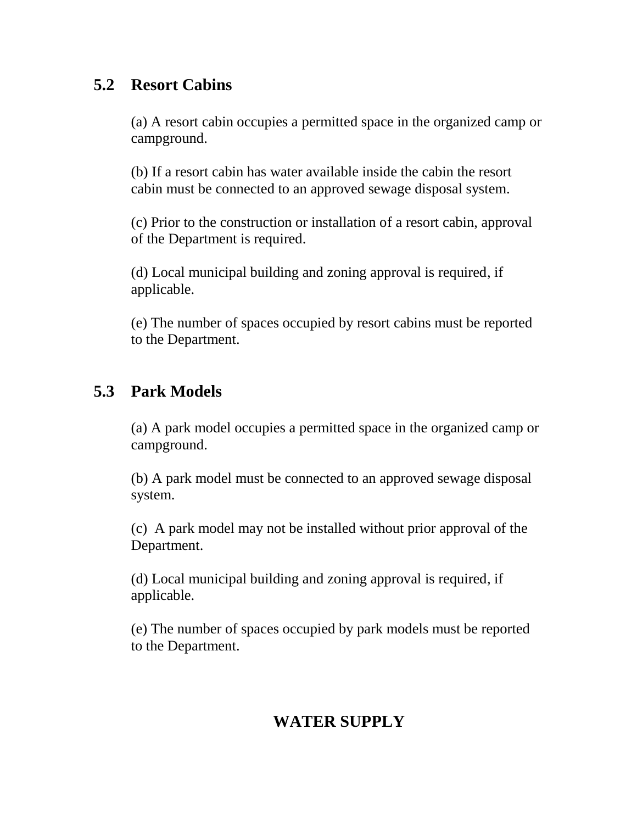# **5.2 Resort Cabins**

(a) A resort cabin occupies a permitted space in the organized camp or campground.

(b) If a resort cabin has water available inside the cabin the resort cabin must be connected to an approved sewage disposal system.

(c) Prior to the construction or installation of a resort cabin, approval of the Department is required.

(d) Local municipal building and zoning approval is required, if applicable.

(e) The number of spaces occupied by resort cabins must be reported to the Department.

# **5.3 Park Models**

(a) A park model occupies a permitted space in the organized camp or campground.

(b) A park model must be connected to an approved sewage disposal system.

(c) A park model may not be installed without prior approval of the Department.

(d) Local municipal building and zoning approval is required, if applicable.

(e) The number of spaces occupied by park models must be reported to the Department.

# **WATER SUPPLY**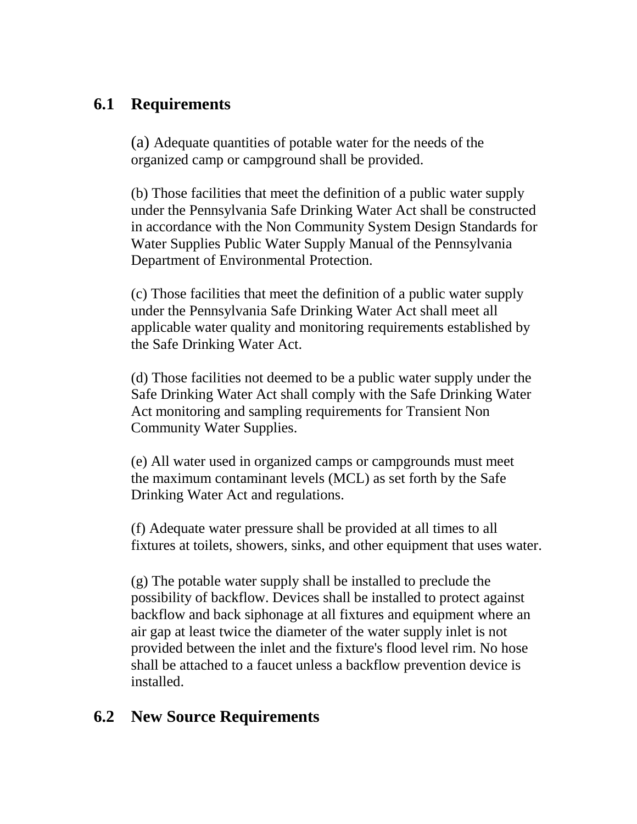# **6.1 Requirements**

(a) Adequate quantities of potable water for the needs of the organized camp or campground shall be provided.

(b) Those facilities that meet the definition of a public water supply under the Pennsylvania Safe Drinking Water Act shall be constructed in accordance with the Non Community System Design Standards for Water Supplies Public Water Supply Manual of the Pennsylvania Department of Environmental Protection.

(c) Those facilities that meet the definition of a public water supply under the Pennsylvania Safe Drinking Water Act shall meet all applicable water quality and monitoring requirements established by the Safe Drinking Water Act.

(d) Those facilities not deemed to be a public water supply under the Safe Drinking Water Act shall comply with the Safe Drinking Water Act monitoring and sampling requirements for Transient Non Community Water Supplies.

(e) All water used in organized camps or campgrounds must meet the maximum contaminant levels (MCL) as set forth by the Safe Drinking Water Act and regulations.

(f) Adequate water pressure shall be provided at all times to all fixtures at toilets, showers, sinks, and other equipment that uses water.

(g) The potable water supply shall be installed to preclude the possibility of backflow. Devices shall be installed to protect against backflow and back siphonage at all fixtures and equipment where an air gap at least twice the diameter of the water supply inlet is not provided between the inlet and the fixture's flood level rim. No hose shall be attached to a faucet unless a backflow prevention device is installed.

# **6.2 New Source Requirements**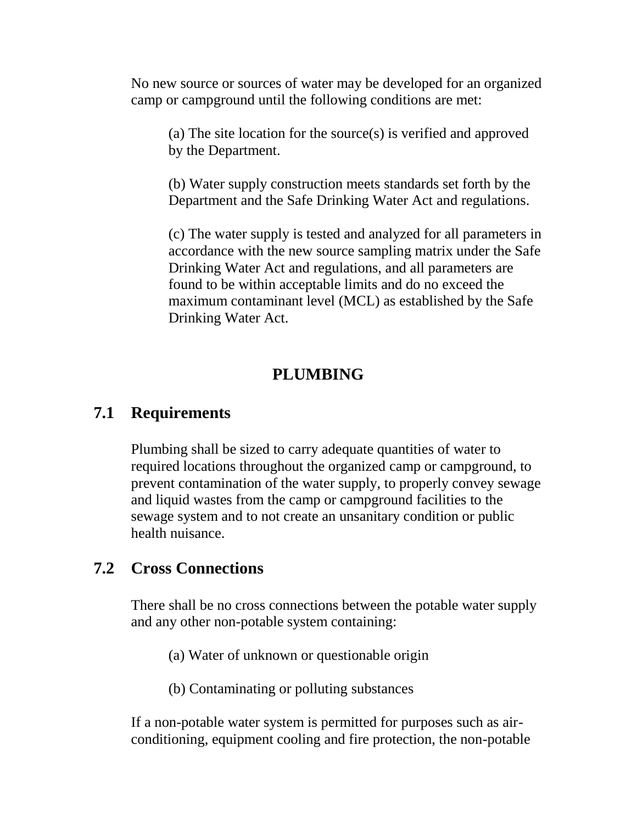No new source or sources of water may be developed for an organized camp or campground until the following conditions are met:

(a) The site location for the source(s) is verified and approved by the Department.

(b) Water supply construction meets standards set forth by the Department and the Safe Drinking Water Act and regulations.

(c) The water supply is tested and analyzed for all parameters in accordance with the new source sampling matrix under the Safe Drinking Water Act and regulations, and all parameters are found to be within acceptable limits and do no exceed the maximum contaminant level (MCL) as established by the Safe Drinking Water Act.

#### **PLUMBING**

#### **7.1 Requirements**

Plumbing shall be sized to carry adequate quantities of water to required locations throughout the organized camp or campground, to prevent contamination of the water supply, to properly convey sewage and liquid wastes from the camp or campground facilities to the sewage system and to not create an unsanitary condition or public health nuisance.

### **7.2 Cross Connections**

There shall be no cross connections between the potable water supply and any other non-potable system containing:

(a) Water of unknown or questionable origin

(b) Contaminating or polluting substances

If a non-potable water system is permitted for purposes such as airconditioning, equipment cooling and fire protection, the non-potable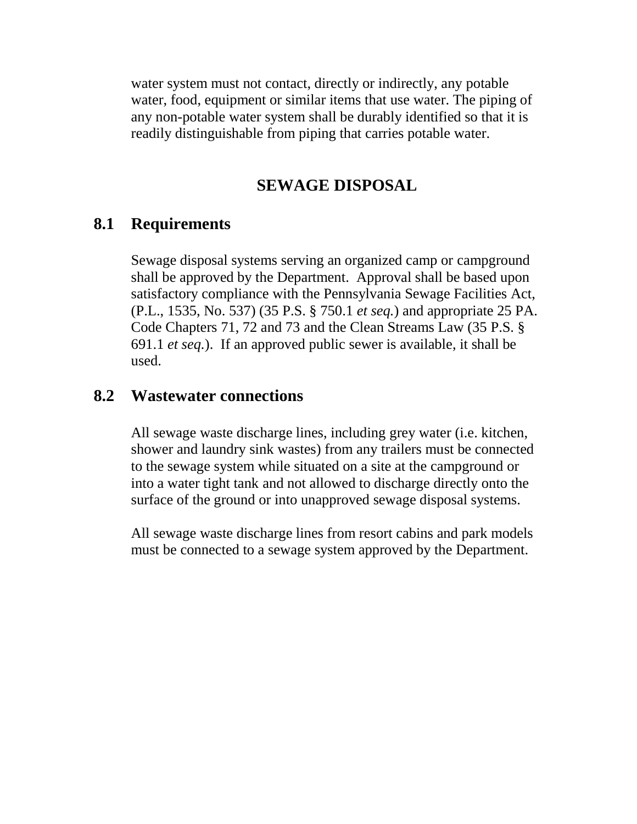water system must not contact, directly or indirectly, any potable water, food, equipment or similar items that use water. The piping of any non-potable water system shall be durably identified so that it is readily distinguishable from piping that carries potable water.

#### **SEWAGE DISPOSAL**

#### **8.1 Requirements**

Sewage disposal systems serving an organized camp or campground shall be approved by the Department. Approval shall be based upon satisfactory compliance with the Pennsylvania Sewage Facilities Act, (P.L., 1535, No. 537) (35 P.S. § 750.1 *et seq.*) and appropriate 25 PA. Code Chapters 71, 72 and 73 and the Clean Streams Law (35 P.S. § 691.1 *et seq.*). If an approved public sewer is available, it shall be used.

#### **8.2 Wastewater connections**

All sewage waste discharge lines, including grey water (i.e. kitchen, shower and laundry sink wastes) from any trailers must be connected to the sewage system while situated on a site at the campground or into a water tight tank and not allowed to discharge directly onto the surface of the ground or into unapproved sewage disposal systems.

All sewage waste discharge lines from resort cabins and park models must be connected to a sewage system approved by the Department.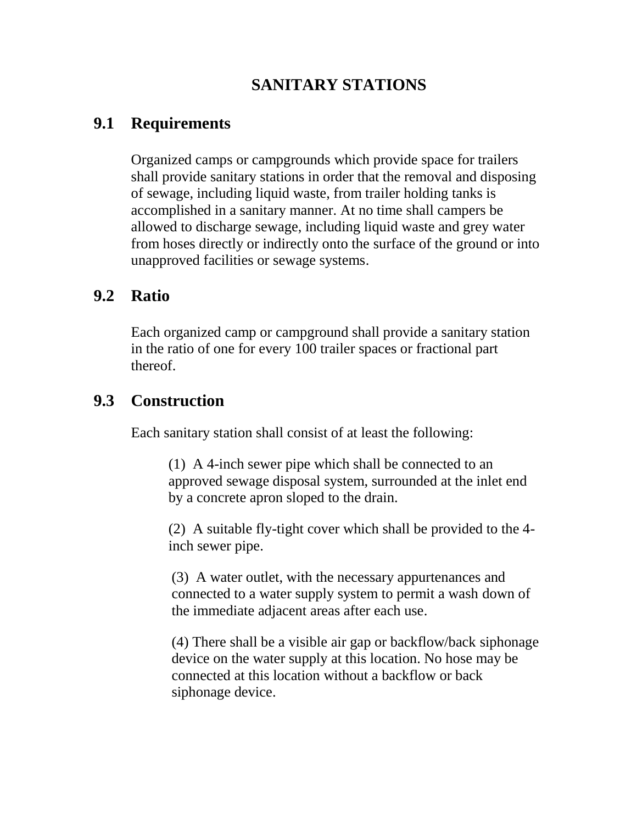# **SANITARY STATIONS**

#### **9.1 Requirements**

Organized camps or campgrounds which provide space for trailers shall provide sanitary stations in order that the removal and disposing of sewage, including liquid waste, from trailer holding tanks is accomplished in a sanitary manner. At no time shall campers be allowed to discharge sewage, including liquid waste and grey water from hoses directly or indirectly onto the surface of the ground or into unapproved facilities or sewage systems.

### **9.2 Ratio**

Each organized camp or campground shall provide a sanitary station in the ratio of one for every 100 trailer spaces or fractional part thereof.

#### **9.3 Construction**

Each sanitary station shall consist of at least the following:

(1) A 4-inch sewer pipe which shall be connected to an approved sewage disposal system, surrounded at the inlet end by a concrete apron sloped to the drain.

(2) A suitable fly-tight cover which shall be provided to the 4 inch sewer pipe.

(3) A water outlet, with the necessary appurtenances and connected to a water supply system to permit a wash down of the immediate adjacent areas after each use.

(4) There shall be a visible air gap or backflow/back siphonage device on the water supply at this location. No hose may be connected at this location without a backflow or back siphonage device.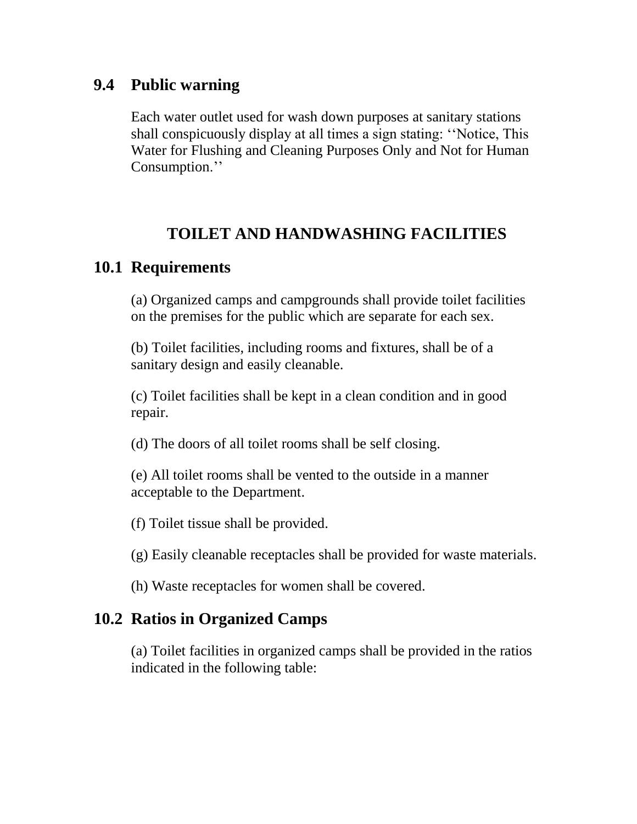### **9.4 Public warning**

Each water outlet used for wash down purposes at sanitary stations shall conspicuously display at all times a sign stating: ''Notice, This Water for Flushing and Cleaning Purposes Only and Not for Human Consumption.''

# **TOILET AND HANDWASHING FACILITIES**

# **10.1 Requirements**

(a) Organized camps and campgrounds shall provide toilet facilities on the premises for the public which are separate for each sex.

(b) Toilet facilities, including rooms and fixtures, shall be of a sanitary design and easily cleanable.

(c) Toilet facilities shall be kept in a clean condition and in good repair.

(d) The doors of all toilet rooms shall be self closing.

(e) All toilet rooms shall be vented to the outside in a manner acceptable to the Department.

(f) Toilet tissue shall be provided.

(g) Easily cleanable receptacles shall be provided for waste materials.

(h) Waste receptacles for women shall be covered.

# **10.2 Ratios in Organized Camps**

(a) Toilet facilities in organized camps shall be provided in the ratios indicated in the following table: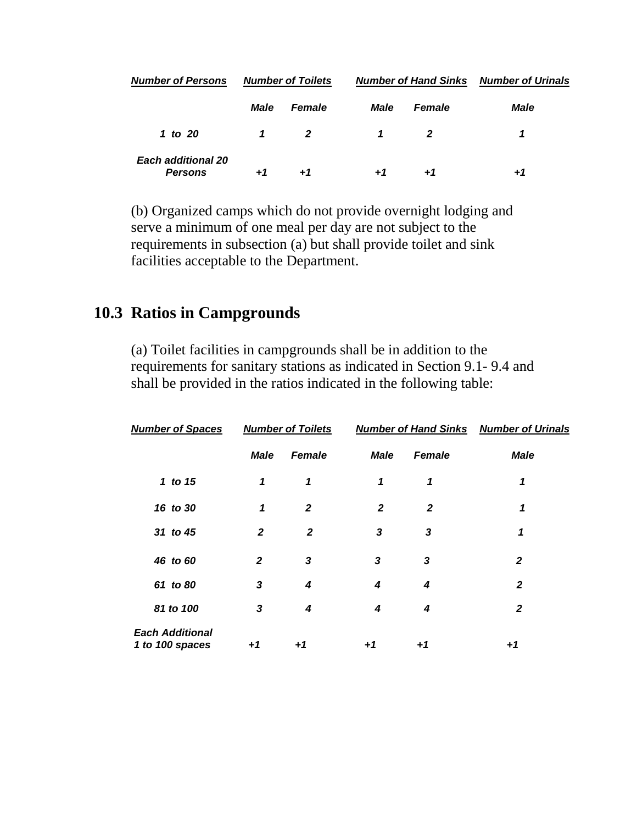| <b>Number of Persons</b>                    | <b>Number of Toilets</b> |                | <b>Number of Hand Sinks</b> |                | <b>Number of Urinals</b> |
|---------------------------------------------|--------------------------|----------------|-----------------------------|----------------|--------------------------|
|                                             | Male                     | <b>Female</b>  | Male                        | <b>Female</b>  | <b>Male</b>              |
| 1 to 20                                     | 1                        | $\overline{2}$ | 1                           | $\overline{2}$ | 1                        |
| <b>Each additional 20</b><br><b>Persons</b> | $+7$                     | $+1$           | $+1$                        | $+7$           | $+1$                     |

(b) Organized camps which do not provide overnight lodging and serve a minimum of one meal per day are not subject to the requirements in subsection (a) but shall provide toilet and sink facilities acceptable to the Department.

### **10.3 Ratios in Campgrounds**

(a) Toilet facilities in campgrounds shall be in addition to the requirements for sanitary stations as indicated in Section 9.1- 9.4 and shall be provided in the ratios indicated in the following table:

| <b>Number of Spaces</b>                   | <b>Number of Toilets</b> |               | <b>Number of Hand Sinks Number of Urinals</b> |                |              |  |
|-------------------------------------------|--------------------------|---------------|-----------------------------------------------|----------------|--------------|--|
|                                           | <b>Male</b>              | <b>Female</b> | <b>Male</b>                                   | Female         | <b>Male</b>  |  |
| 1 to 15                                   | 1                        | 1             | 1                                             | 1              | 1            |  |
| 16 to 30                                  | 1                        | $\mathbf{2}$  | $\overline{2}$                                | $\overline{2}$ | 1            |  |
| 31 to 45                                  | $\mathbf{2}$             | 2             | 3                                             | 3              | 1            |  |
| 46 to 60                                  | $\mathbf{2}$             | 3             | 3                                             | 3              | $\mathbf{2}$ |  |
| 61 to 80                                  | 3                        | 4             | 4                                             | 4              | 2            |  |
| 81 to 100                                 | 3                        | 4             | 4                                             | 4              | 2            |  |
| <b>Each Additional</b><br>1 to 100 spaces | $+1$                     | +1            | +1                                            | +1             | $+1$         |  |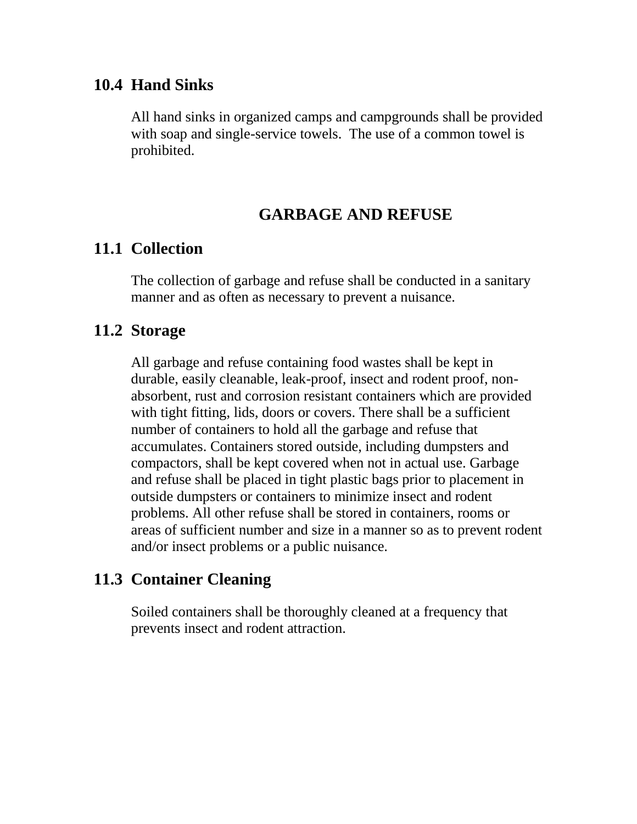#### **10.4 Hand Sinks**

All hand sinks in organized camps and campgrounds shall be provided with soap and single-service towels. The use of a common towel is prohibited.

### **GARBAGE AND REFUSE**

### **11.1 Collection**

The collection of garbage and refuse shall be conducted in a sanitary manner and as often as necessary to prevent a nuisance.

### **11.2 Storage**

All garbage and refuse containing food wastes shall be kept in durable, easily cleanable, leak-proof, insect and rodent proof, nonabsorbent, rust and corrosion resistant containers which are provided with tight fitting, lids, doors or covers. There shall be a sufficient number of containers to hold all the garbage and refuse that accumulates. Containers stored outside, including dumpsters and compactors, shall be kept covered when not in actual use. Garbage and refuse shall be placed in tight plastic bags prior to placement in outside dumpsters or containers to minimize insect and rodent problems. All other refuse shall be stored in containers, rooms or areas of sufficient number and size in a manner so as to prevent rodent and/or insect problems or a public nuisance.

# **11.3 Container Cleaning**

Soiled containers shall be thoroughly cleaned at a frequency that prevents insect and rodent attraction.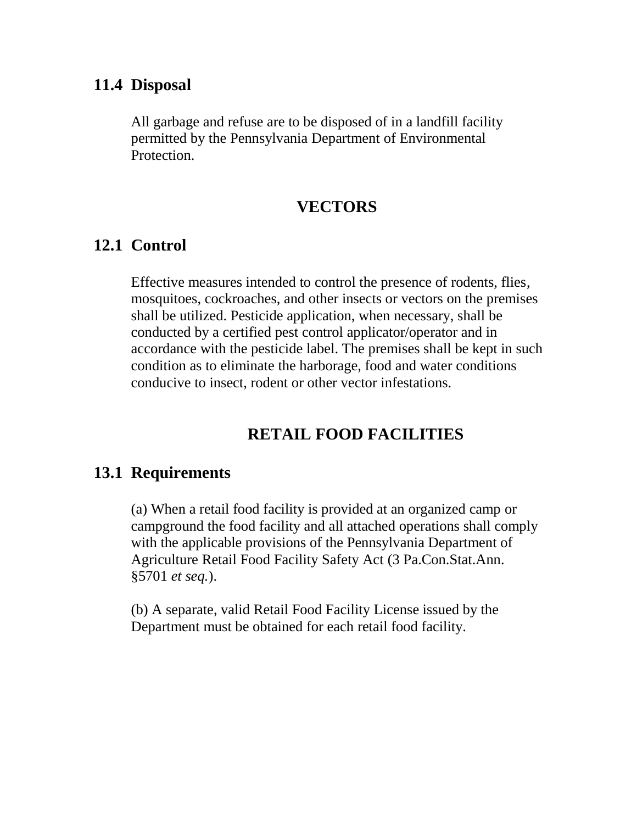#### **11.4 Disposal**

All garbage and refuse are to be disposed of in a landfill facility permitted by the Pennsylvania Department of Environmental Protection.

#### **VECTORS**

### **12.1 Control**

Effective measures intended to control the presence of rodents, flies, mosquitoes, cockroaches, and other insects or vectors on the premises shall be utilized. Pesticide application, when necessary, shall be conducted by a certified pest control applicator/operator and in accordance with the pesticide label. The premises shall be kept in such condition as to eliminate the harborage, food and water conditions conducive to insect, rodent or other vector infestations.

# **RETAIL FOOD FACILITIES**

#### **13.1 Requirements**

(a) When a retail food facility is provided at an organized camp or campground the food facility and all attached operations shall comply with the applicable provisions of the Pennsylvania Department of Agriculture Retail Food Facility Safety Act (3 Pa.Con.Stat.Ann. §5701 *et seq.*).

(b) A separate, valid Retail Food Facility License issued by the Department must be obtained for each retail food facility.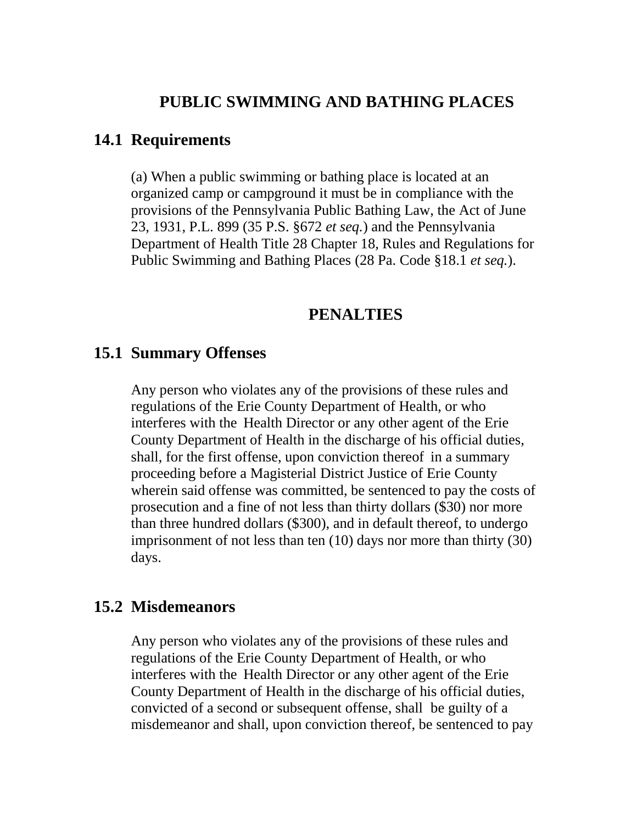#### **PUBLIC SWIMMING AND BATHING PLACES**

#### **14.1 Requirements**

(a) When a public swimming or bathing place is located at an organized camp or campground it must be in compliance with the provisions of the Pennsylvania Public Bathing Law, the Act of June 23, 1931, P.L. 899 (35 P.S. §672 *et seq.*) and the Pennsylvania Department of Health Title 28 Chapter 18, Rules and Regulations for Public Swimming and Bathing Places (28 Pa. Code §18.1 *et seq.*).

#### **PENALTIES**

#### **15.1 Summary Offenses**

Any person who violates any of the provisions of these rules and regulations of the Erie County Department of Health, or who interferes with the Health Director or any other agent of the Erie County Department of Health in the discharge of his official duties, shall, for the first offense, upon conviction thereof in a summary proceeding before a Magisterial District Justice of Erie County wherein said offense was committed, be sentenced to pay the costs of prosecution and a fine of not less than thirty dollars (\$30) nor more than three hundred dollars (\$300), and in default thereof, to undergo imprisonment of not less than ten (10) days nor more than thirty (30) days.

#### **15.2 Misdemeanors**

Any person who violates any of the provisions of these rules and regulations of the Erie County Department of Health, or who interferes with the Health Director or any other agent of the Erie County Department of Health in the discharge of his official duties, convicted of a second or subsequent offense, shall be guilty of a misdemeanor and shall, upon conviction thereof, be sentenced to pay